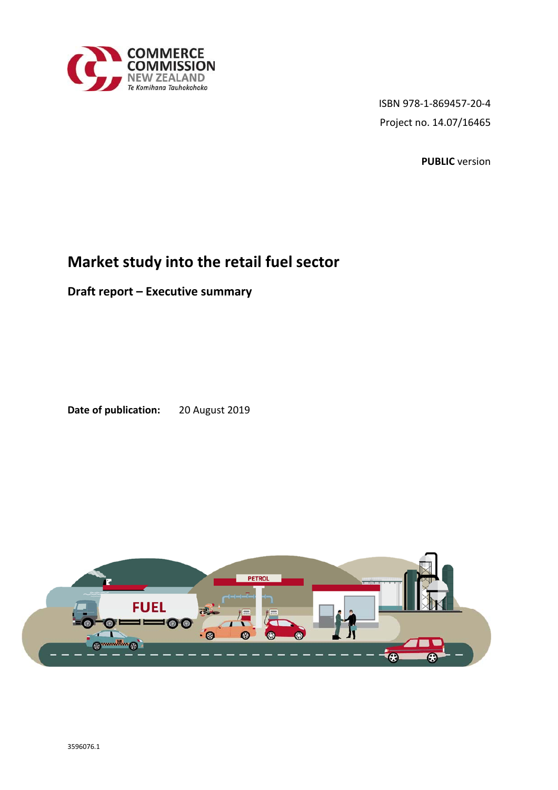

ISBN 978-1-869457-20-4 Project no. 14.07/16465

**PUBLIC** version

## **Market study into the retail fuel sector**

**Draft report – Executive summary** 

**Date of publication:** 20 August 2019

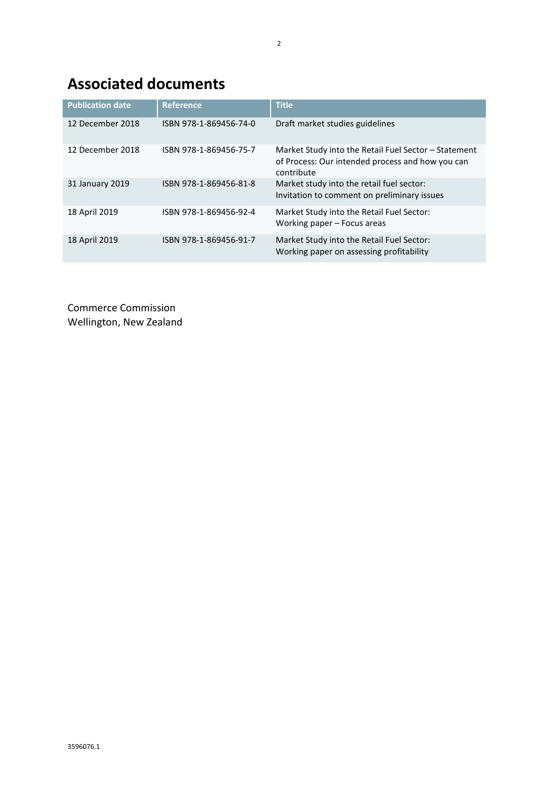# **Associated documents**

| <b>Publication date</b> | <b>Reference</b>       | <b>Title</b>                                                                                                           |
|-------------------------|------------------------|------------------------------------------------------------------------------------------------------------------------|
| 12 December 2018        | ISBN 978-1-869456-74-0 | Draft market studies guidelines                                                                                        |
| 12 December 2018        | ISBN 978-1-869456-75-7 | Market Study into the Retail Fuel Sector - Statement<br>of Process: Our intended process and how you can<br>contribute |
| 31 January 2019         | ISBN 978-1-869456-81-8 | Market study into the retail fuel sector:<br>Invitation to comment on preliminary issues                               |
| 18 April 2019           | ISBN 978-1-869456-92-4 | Market Study into the Retail Fuel Sector:<br>Working paper - Focus areas                                               |
| 18 April 2019           | ISBN 978-1-869456-91-7 | Market Study into the Retail Fuel Sector:<br>Working paper on assessing profitability                                  |

Commerce Commission Wellington, New Zealand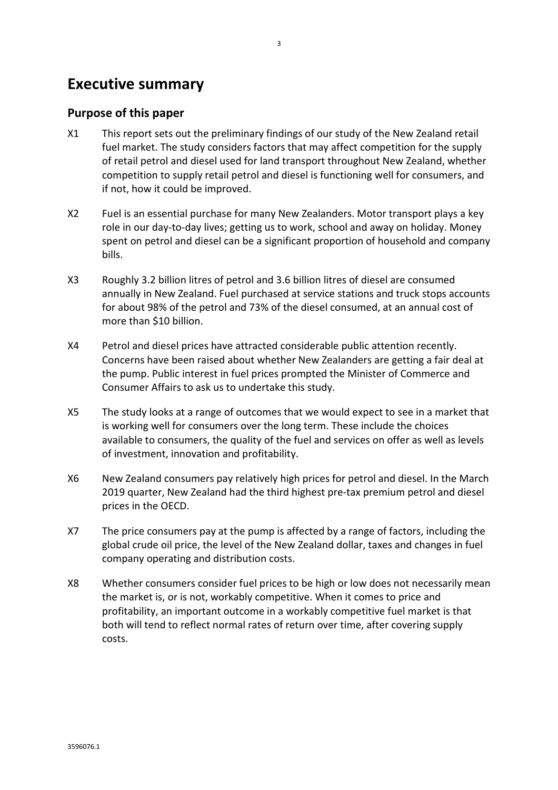## **Executive summary**

### **Purpose of this paper**

- X1 This report sets out the preliminary findings of our study of the New Zealand retail fuel market. The study considers factors that may affect competition for the supply of retail petrol and diesel used for land transport throughout New Zealand, whether competition to supply retail petrol and diesel is functioning well for consumers, and if not, how it could be improved.
- X2 Fuel is an essential purchase for many New Zealanders. Motor transport plays a key role in our day-to-day lives; getting us to work, school and away on holiday. Money spent on petrol and diesel can be a significant proportion of household and company bills.
- X3 Roughly 3.2 billion litres of petrol and 3.6 billion litres of diesel are consumed annually in New Zealand. Fuel purchased at service stations and truck stops accounts for about 98% of the petrol and 73% of the diesel consumed, at an annual cost of more than \$10 billion.
- X4 Petrol and diesel prices have attracted considerable public attention recently. Concerns have been raised about whether New Zealanders are getting a fair deal at the pump. Public interest in fuel prices prompted the Minister of Commerce and Consumer Affairs to ask us to undertake this study.
- X5 The study looks at a range of outcomes that we would expect to see in a market that is working well for consumers over the long term. These include the choices available to consumers, the quality of the fuel and services on offer as well as levels of investment, innovation and profitability.
- X6 New Zealand consumers pay relatively high prices for petrol and diesel. In the March 2019 quarter, New Zealand had the third highest pre-tax premium petrol and diesel prices in the OECD.
- X7 The price consumers pay at the pump is affected by a range of factors, including the global crude oil price, the level of the New Zealand dollar, taxes and changes in fuel company operating and distribution costs.
- X8 Whether consumers consider fuel prices to be high or low does not necessarily mean the market is, or is not, workably competitive. When it comes to price and profitability, an important outcome in a workably competitive fuel market is that both will tend to reflect normal rates of return over time, after covering supply costs.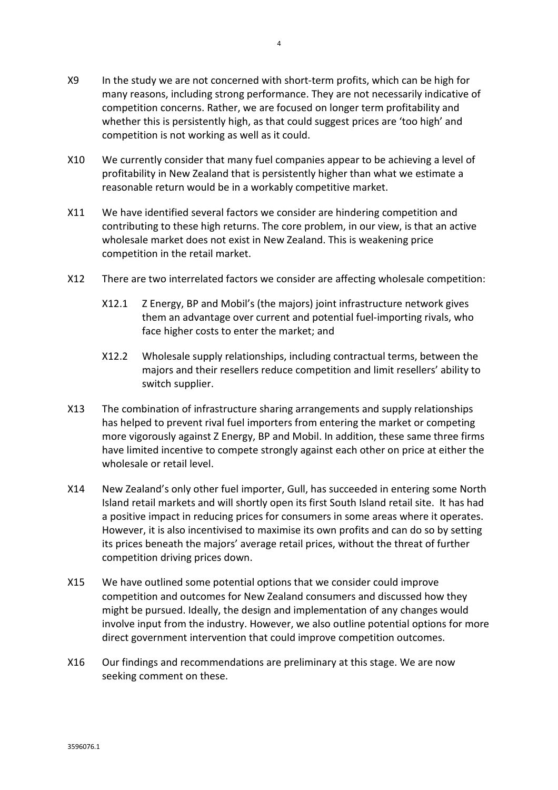- X9 In the study we are not concerned with short-term profits, which can be high for many reasons, including strong performance. They are not necessarily indicative of competition concerns. Rather, we are focused on longer term profitability and whether this is persistently high, as that could suggest prices are 'too high' and competition is not working as well as it could.
- X10 We currently consider that many fuel companies appear to be achieving a level of profitability in New Zealand that is persistently higher than what we estimate a reasonable return would be in a workably competitive market.
- X11 We have identified several factors we consider are hindering competition and contributing to these high returns. The core problem, in our view, is that an active wholesale market does not exist in New Zealand. This is weakening price competition in the retail market.
- X12 There are two interrelated factors we consider are affecting wholesale competition:
	- X12.1 Z Energy, BP and Mobil's (the majors) joint infrastructure network gives them an advantage over current and potential fuel-importing rivals, who face higher costs to enter the market; and
	- X12.2 Wholesale supply relationships, including contractual terms, between the majors and their resellers reduce competition and limit resellers' ability to switch supplier.
- X13 The combination of infrastructure sharing arrangements and supply relationships has helped to prevent rival fuel importers from entering the market or competing more vigorously against Z Energy, BP and Mobil. In addition, these same three firms have limited incentive to compete strongly against each other on price at either the wholesale or retail level.
- X14 New Zealand's only other fuel importer, Gull, has succeeded in entering some North Island retail markets and will shortly open its first South Island retail site. It has had a positive impact in reducing prices for consumers in some areas where it operates. However, it is also incentivised to maximise its own profits and can do so by setting its prices beneath the majors' average retail prices, without the threat of further competition driving prices down.
- X15 We have outlined some potential options that we consider could improve competition and outcomes for New Zealand consumers and discussed how they might be pursued. Ideally, the design and implementation of any changes would involve input from the industry. However, we also outline potential options for more direct government intervention that could improve competition outcomes.
- X16 Our findings and recommendations are preliminary at this stage. We are now seeking comment on these.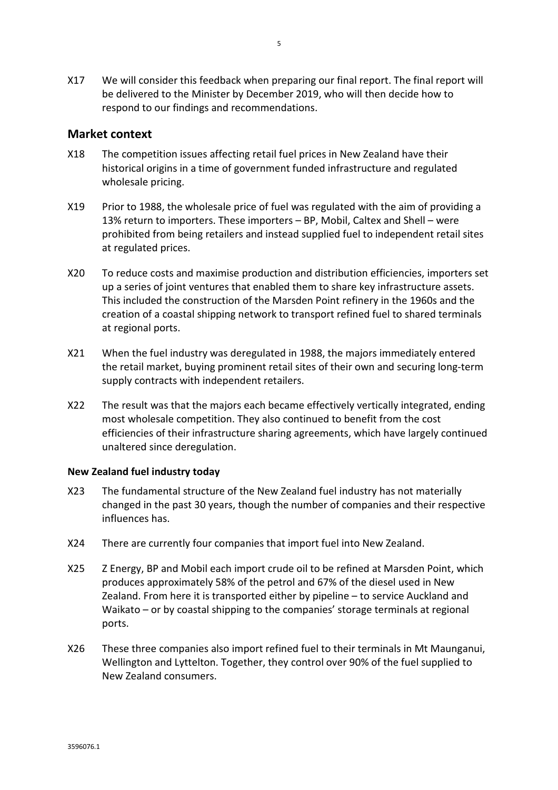X17 We will consider this feedback when preparing our final report. The final report will be delivered to the Minister by December 2019, who will then decide how to respond to our findings and recommendations.

### **Market context**

- X18 The competition issues affecting retail fuel prices in New Zealand have their historical origins in a time of government funded infrastructure and regulated wholesale pricing.
- X19 Prior to 1988, the wholesale price of fuel was regulated with the aim of providing a 13% return to importers. These importers – BP, Mobil, Caltex and Shell – were prohibited from being retailers and instead supplied fuel to independent retail sites at regulated prices.
- X20 To reduce costs and maximise production and distribution efficiencies, importers set up a series of joint ventures that enabled them to share key infrastructure assets. This included the construction of the Marsden Point refinery in the 1960s and the creation of a coastal shipping network to transport refined fuel to shared terminals at regional ports.
- X21 When the fuel industry was deregulated in 1988, the majors immediately entered the retail market, buying prominent retail sites of their own and securing long-term supply contracts with independent retailers.
- X22 The result was that the majors each became effectively vertically integrated, ending most wholesale competition. They also continued to benefit from the cost efficiencies of their infrastructure sharing agreements, which have largely continued unaltered since deregulation.

#### **New Zealand fuel industry today**

- X23 The fundamental structure of the New Zealand fuel industry has not materially changed in the past 30 years, though the number of companies and their respective influences has.
- X24 There are currently four companies that import fuel into New Zealand.
- X25 Z Energy, BP and Mobil each import crude oil to be refined at Marsden Point, which produces approximately 58% of the petrol and 67% of the diesel used in New Zealand. From here it is transported either by pipeline – to service Auckland and Waikato – or by coastal shipping to the companies' storage terminals at regional ports.
- X26 These three companies also import refined fuel to their terminals in Mt Maunganui, Wellington and Lyttelton. Together, they control over 90% of the fuel supplied to New Zealand consumers.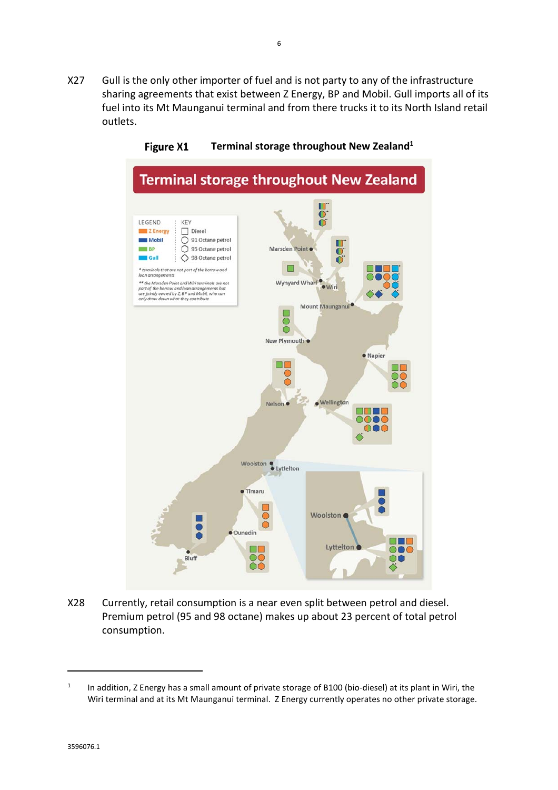X27 Gull is the only other importer of fuel and is not party to any of the infrastructure sharing agreements that exist between Z Energy, BP and Mobil. Gull imports all of its fuel into its Mt Maunganui terminal and from there trucks it to its North Island retail outlets.



Figure X1 **Terminal storage throughout New Zealand1**

X28 Currently, retail consumption is a near even split between petrol and diesel. Premium petrol (95 and 98 octane) makes up about 23 percent of total petrol consumption.

 $\overline{a}$ 

<sup>1</sup> In addition, Z Energy has a small amount of private storage of B100 (bio-diesel) at its plant in Wiri, the Wiri terminal and at its Mt Maunganui terminal. Z Energy currently operates no other private storage.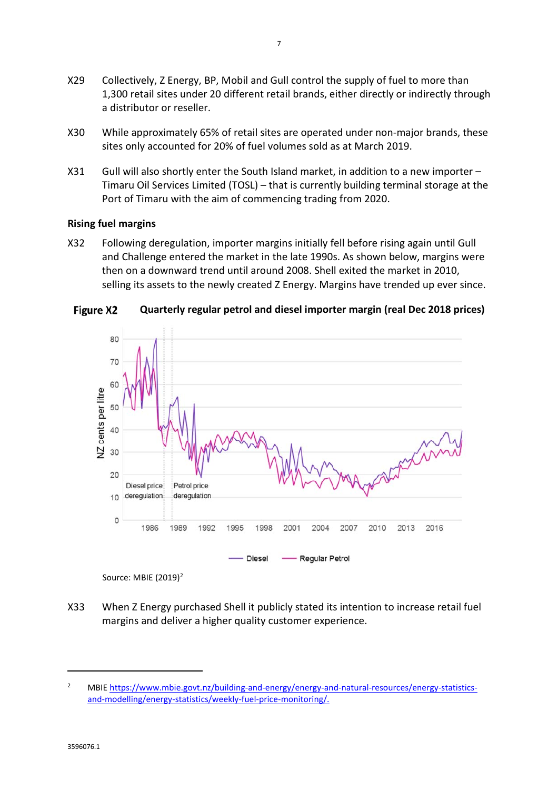- X29 Collectively, Z Energy, BP, Mobil and Gull control the supply of fuel to more than 1,300 retail sites under 20 different retail brands, either directly or indirectly through a distributor or reseller.
- X30 While approximately 65% of retail sites are operated under non-major brands, these sites only accounted for 20% of fuel volumes sold as at March 2019.
- X31 Gull will also shortly enter the South Island market, in addition to a new importer Timaru Oil Services Limited (TOSL) – that is currently building terminal storage at the Port of Timaru with the aim of commencing trading from 2020.

#### **Rising fuel margins**

X32 Following deregulation, importer margins initially fell before rising again until Gull and Challenge entered the market in the late 1990s. As shown below, margins were then on a downward trend until around 2008. Shell exited the market in 2010, selling its assets to the newly created Z Energy. Margins have trended up ever since.







X33 When Z Energy purchased Shell it publicly stated its intention to increase retail fuel margins and deliver a higher quality customer experience.

 $\overline{a}$ 

<sup>2</sup> MBIE https://www.mbie.govt.nz/building-and-energy/energy-and-natural-resources/energy-statisticsand-modelling/energy-statistics/weekly-fuel-price-monitoring/.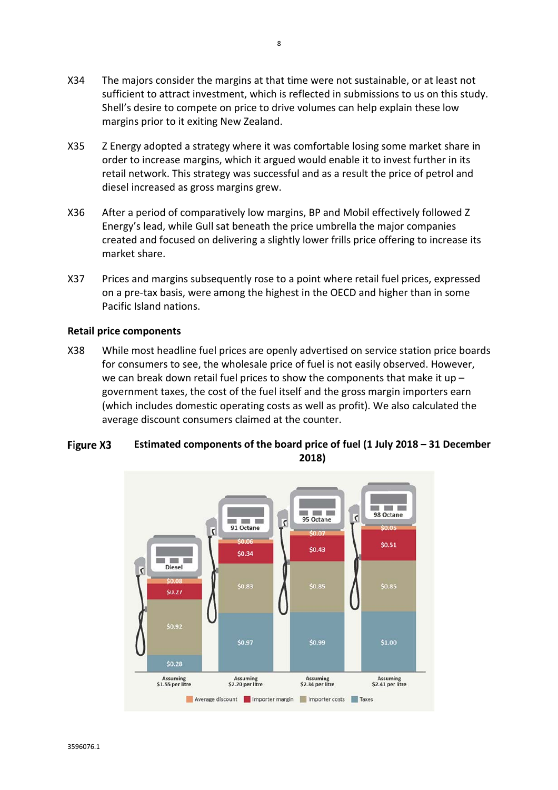- X34 The majors consider the margins at that time were not sustainable, or at least not sufficient to attract investment, which is reflected in submissions to us on this study. Shell's desire to compete on price to drive volumes can help explain these low margins prior to it exiting New Zealand.
- X35 Z Energy adopted a strategy where it was comfortable losing some market share in order to increase margins, which it argued would enable it to invest further in its retail network. This strategy was successful and as a result the price of petrol and diesel increased as gross margins grew.
- X36 After a period of comparatively low margins, BP and Mobil effectively followed Z Energy's lead, while Gull sat beneath the price umbrella the major companies created and focused on delivering a slightly lower frills price offering to increase its market share.
- X37 Prices and margins subsequently rose to a point where retail fuel prices, expressed on a pre-tax basis, were among the highest in the OECD and higher than in some Pacific Island nations.

#### **Retail price components**

X38 While most headline fuel prices are openly advertised on service station price boards for consumers to see, the wholesale price of fuel is not easily observed. However, we can break down retail fuel prices to show the components that make it up  $$ government taxes, the cost of the fuel itself and the gross margin importers earn (which includes domestic operating costs as well as profit). We also calculated the average discount consumers claimed at the counter.

#### **Figure X3 Estimated components of the board price of fuel (1 July 2018 – 31 December 2018)**

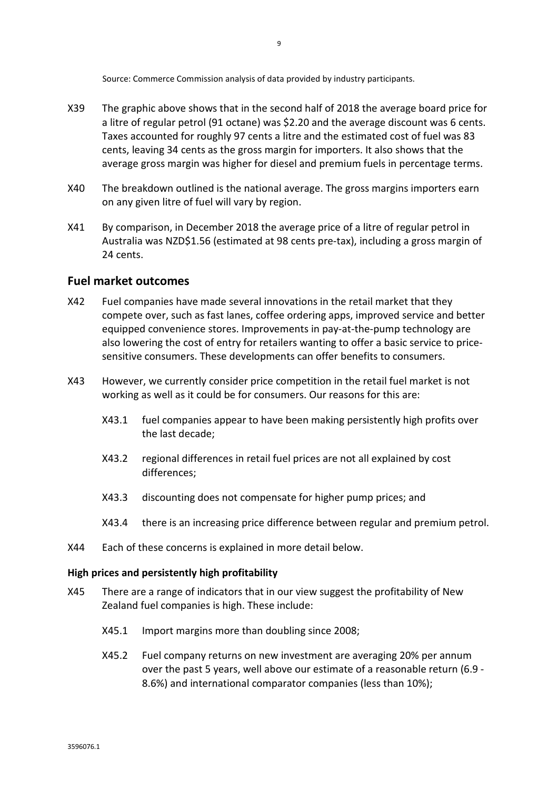Source: Commerce Commission analysis of data provided by industry participants.

- X39 The graphic above shows that in the second half of 2018 the average board price for a litre of regular petrol (91 octane) was \$2.20 and the average discount was 6 cents. Taxes accounted for roughly 97 cents a litre and the estimated cost of fuel was 83 cents, leaving 34 cents as the gross margin for importers. It also shows that the average gross margin was higher for diesel and premium fuels in percentage terms.
- X40 The breakdown outlined is the national average. The gross margins importers earn on any given litre of fuel will vary by region.
- X41 By comparison, in December 2018 the average price of a litre of regular petrol in Australia was NZD\$1.56 (estimated at 98 cents pre-tax), including a gross margin of 24 cents.

#### **Fuel market outcomes**

- X42 Fuel companies have made several innovations in the retail market that they compete over, such as fast lanes, coffee ordering apps, improved service and better equipped convenience stores. Improvements in pay-at-the-pump technology are also lowering the cost of entry for retailers wanting to offer a basic service to pricesensitive consumers. These developments can offer benefits to consumers.
- X43 However, we currently consider price competition in the retail fuel market is not working as well as it could be for consumers. Our reasons for this are:
	- X43.1 fuel companies appear to have been making persistently high profits over the last decade;
	- X43.2 regional differences in retail fuel prices are not all explained by cost differences;
	- X43.3 discounting does not compensate for higher pump prices; and
	- X43.4 there is an increasing price difference between regular and premium petrol.
- X44 Each of these concerns is explained in more detail below.

#### **High prices and persistently high profitability**

- X45 There are a range of indicators that in our view suggest the profitability of New Zealand fuel companies is high. These include:
	- X45.1 Import margins more than doubling since 2008;
	- X45.2 Fuel company returns on new investment are averaging 20% per annum over the past 5 years, well above our estimate of a reasonable return (6.9 - 8.6%) and international comparator companies (less than 10%);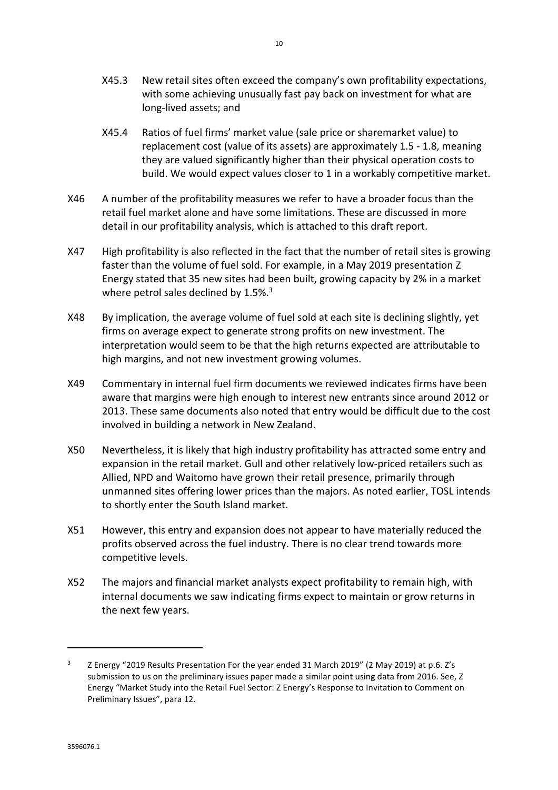- X45.3 New retail sites often exceed the company's own profitability expectations, with some achieving unusually fast pay back on investment for what are long-lived assets; and
- X45.4 Ratios of fuel firms' market value (sale price or sharemarket value) to replacement cost (value of its assets) are approximately 1.5 - 1.8, meaning they are valued significantly higher than their physical operation costs to build. We would expect values closer to 1 in a workably competitive market.
- X46 A number of the profitability measures we refer to have a broader focus than the retail fuel market alone and have some limitations. These are discussed in more detail in our profitability analysis, which is attached to this draft report.
- X47 High profitability is also reflected in the fact that the number of retail sites is growing faster than the volume of fuel sold. For example, in a May 2019 presentation Z Energy stated that 35 new sites had been built, growing capacity by 2% in a market where petrol sales declined by  $1.5\%$ .<sup>3</sup>
- X48 By implication, the average volume of fuel sold at each site is declining slightly, yet firms on average expect to generate strong profits on new investment. The interpretation would seem to be that the high returns expected are attributable to high margins, and not new investment growing volumes.
- X49 Commentary in internal fuel firm documents we reviewed indicates firms have been aware that margins were high enough to interest new entrants since around 2012 or 2013. These same documents also noted that entry would be difficult due to the cost involved in building a network in New Zealand.
- X50 Nevertheless, it is likely that high industry profitability has attracted some entry and expansion in the retail market. Gull and other relatively low-priced retailers such as Allied, NPD and Waitomo have grown their retail presence, primarily through unmanned sites offering lower prices than the majors. As noted earlier, TOSL intends to shortly enter the South Island market.
- X51 However, this entry and expansion does not appear to have materially reduced the profits observed across the fuel industry. There is no clear trend towards more competitive levels.
- X52 The majors and financial market analysts expect profitability to remain high, with internal documents we saw indicating firms expect to maintain or grow returns in the next few years.

 $\overline{a}$ 

<sup>3</sup> Z Energy "2019 Results Presentation For the year ended 31 March 2019" (2 May 2019) at p.6. Z's submission to us on the preliminary issues paper made a similar point using data from 2016. See, Z Energy "Market Study into the Retail Fuel Sector: Z Energy's Response to Invitation to Comment on Preliminary Issues", para 12.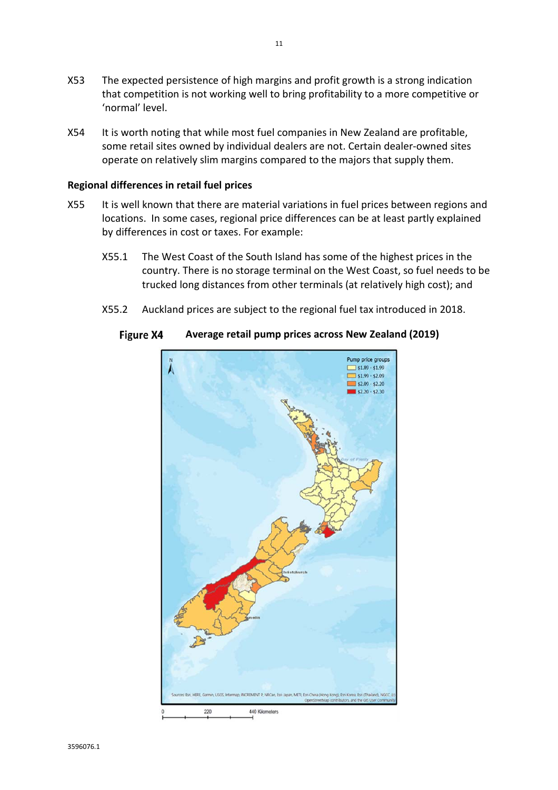- X53 The expected persistence of high margins and profit growth is a strong indication that competition is not working well to bring profitability to a more competitive or 'normal' level.
- X54 It is worth noting that while most fuel companies in New Zealand are profitable, some retail sites owned by individual dealers are not. Certain dealer-owned sites operate on relatively slim margins compared to the majors that supply them.

#### **Regional differences in retail fuel prices**

- X55 It is well known that there are material variations in fuel prices between regions and locations. In some cases, regional price differences can be at least partly explained by differences in cost or taxes. For example:
	- X55.1 The West Coast of the South Island has some of the highest prices in the country. There is no storage terminal on the West Coast, so fuel needs to be trucked long distances from other terminals (at relatively high cost); and
	- X55.2 Auckland prices are subject to the regional fuel tax introduced in 2018.



#### **Figure X4 Average retail pump prices across New Zealand (2019)**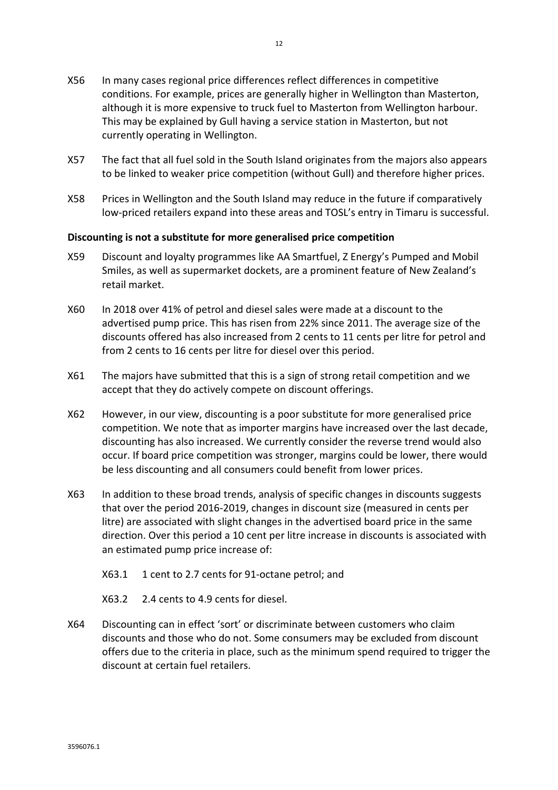- X57 The fact that all fuel sold in the South Island originates from the majors also appears to be linked to weaker price competition (without Gull) and therefore higher prices.
- X58 Prices in Wellington and the South Island may reduce in the future if comparatively low-priced retailers expand into these areas and TOSL's entry in Timaru is successful.

#### **Discounting is not a substitute for more generalised price competition**

- X59 Discount and loyalty programmes like AA Smartfuel, Z Energy's Pumped and Mobil Smiles, as well as supermarket dockets, are a prominent feature of New Zealand's retail market.
- X60 In 2018 over 41% of petrol and diesel sales were made at a discount to the advertised pump price. This has risen from 22% since 2011. The average size of the discounts offered has also increased from 2 cents to 11 cents per litre for petrol and from 2 cents to 16 cents per litre for diesel over this period.
- X61 The majors have submitted that this is a sign of strong retail competition and we accept that they do actively compete on discount offerings.
- X62 However, in our view, discounting is a poor substitute for more generalised price competition. We note that as importer margins have increased over the last decade, discounting has also increased. We currently consider the reverse trend would also occur. If board price competition was stronger, margins could be lower, there would be less discounting and all consumers could benefit from lower prices.
- X63 In addition to these broad trends, analysis of specific changes in discounts suggests that over the period 2016-2019, changes in discount size (measured in cents per litre) are associated with slight changes in the advertised board price in the same direction. Over this period a 10 cent per litre increase in discounts is associated with an estimated pump price increase of:
	- X63.1 1 cent to 2.7 cents for 91-octane petrol; and
	- X63.2 2.4 cents to 4.9 cents for diesel.
- X64 Discounting can in effect 'sort' or discriminate between customers who claim discounts and those who do not. Some consumers may be excluded from discount offers due to the criteria in place, such as the minimum spend required to trigger the discount at certain fuel retailers.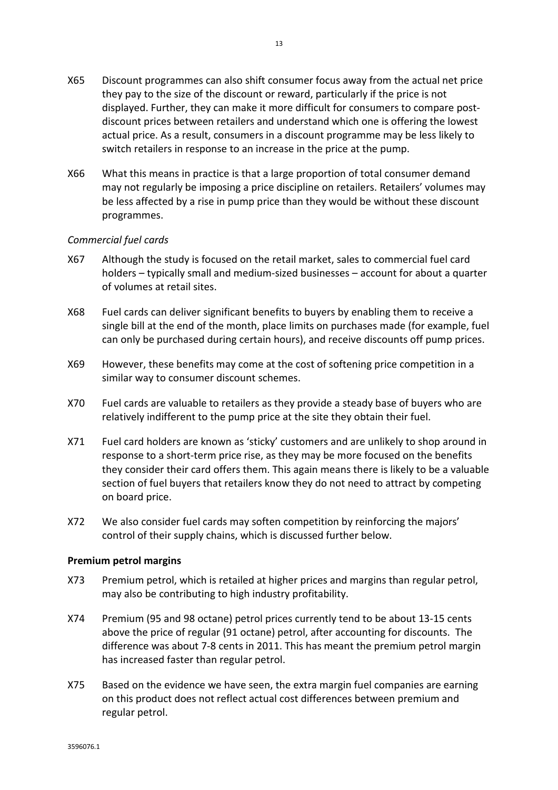- X65 Discount programmes can also shift consumer focus away from the actual net price they pay to the size of the discount or reward, particularly if the price is not displayed. Further, they can make it more difficult for consumers to compare postdiscount prices between retailers and understand which one is offering the lowest actual price. As a result, consumers in a discount programme may be less likely to switch retailers in response to an increase in the price at the pump.
- X66 What this means in practice is that a large proportion of total consumer demand may not regularly be imposing a price discipline on retailers. Retailers' volumes may be less affected by a rise in pump price than they would be without these discount programmes.

#### *Commercial fuel cards*

- X67 Although the study is focused on the retail market, sales to commercial fuel card holders – typically small and medium-sized businesses – account for about a quarter of volumes at retail sites.
- X68 Fuel cards can deliver significant benefits to buyers by enabling them to receive a single bill at the end of the month, place limits on purchases made (for example, fuel can only be purchased during certain hours), and receive discounts off pump prices.
- X69 However, these benefits may come at the cost of softening price competition in a similar way to consumer discount schemes.
- X70 Fuel cards are valuable to retailers as they provide a steady base of buyers who are relatively indifferent to the pump price at the site they obtain their fuel.
- X71 Fuel card holders are known as 'sticky' customers and are unlikely to shop around in response to a short-term price rise, as they may be more focused on the benefits they consider their card offers them. This again means there is likely to be a valuable section of fuel buyers that retailers know they do not need to attract by competing on board price.
- X72 We also consider fuel cards may soften competition by reinforcing the majors' control of their supply chains, which is discussed further below.

#### **Premium petrol margins**

- X73 Premium petrol, which is retailed at higher prices and margins than regular petrol, may also be contributing to high industry profitability.
- X74 Premium (95 and 98 octane) petrol prices currently tend to be about 13-15 cents above the price of regular (91 octane) petrol, after accounting for discounts. The difference was about 7-8 cents in 2011. This has meant the premium petrol margin has increased faster than regular petrol.
- X75 Based on the evidence we have seen, the extra margin fuel companies are earning on this product does not reflect actual cost differences between premium and regular petrol.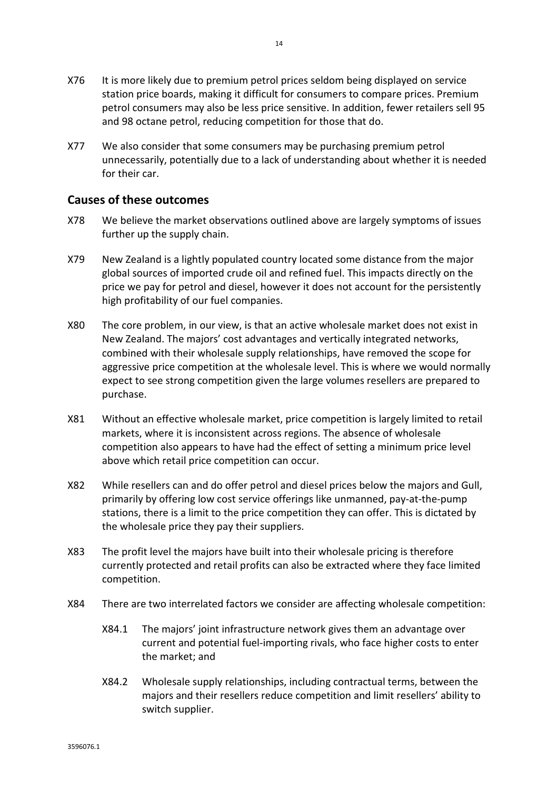- X76 It is more likely due to premium petrol prices seldom being displayed on service station price boards, making it difficult for consumers to compare prices. Premium petrol consumers may also be less price sensitive. In addition, fewer retailers sell 95 and 98 octane petrol, reducing competition for those that do.
- X77 We also consider that some consumers may be purchasing premium petrol unnecessarily, potentially due to a lack of understanding about whether it is needed for their car.

#### **Causes of these outcomes**

- X78 We believe the market observations outlined above are largely symptoms of issues further up the supply chain.
- X79 New Zealand is a lightly populated country located some distance from the major global sources of imported crude oil and refined fuel. This impacts directly on the price we pay for petrol and diesel, however it does not account for the persistently high profitability of our fuel companies.
- X80 The core problem, in our view, is that an active wholesale market does not exist in New Zealand. The majors' cost advantages and vertically integrated networks, combined with their wholesale supply relationships, have removed the scope for aggressive price competition at the wholesale level. This is where we would normally expect to see strong competition given the large volumes resellers are prepared to purchase.
- X81 Without an effective wholesale market, price competition is largely limited to retail markets, where it is inconsistent across regions. The absence of wholesale competition also appears to have had the effect of setting a minimum price level above which retail price competition can occur.
- X82 While resellers can and do offer petrol and diesel prices below the majors and Gull, primarily by offering low cost service offerings like unmanned, pay-at-the-pump stations, there is a limit to the price competition they can offer. This is dictated by the wholesale price they pay their suppliers.
- X83 The profit level the majors have built into their wholesale pricing is therefore currently protected and retail profits can also be extracted where they face limited competition.
- X84 There are two interrelated factors we consider are affecting wholesale competition:
	- X84.1 The majors' joint infrastructure network gives them an advantage over current and potential fuel-importing rivals, who face higher costs to enter the market; and
	- X84.2 Wholesale supply relationships, including contractual terms, between the majors and their resellers reduce competition and limit resellers' ability to switch supplier.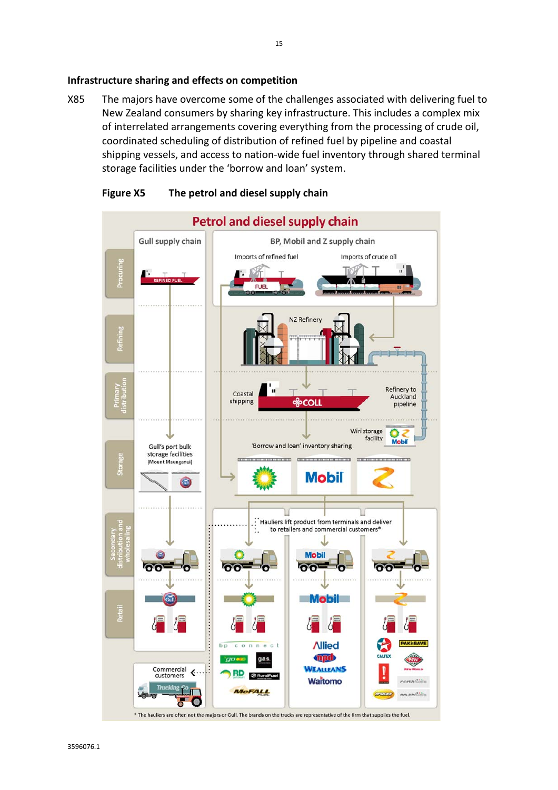X85 The majors have overcome some of the challenges associated with delivering fuel to New Zealand consumers by sharing key infrastructure. This includes a complex mix of interrelated arrangements covering everything from the processing of crude oil, coordinated scheduling of distribution of refined fuel by pipeline and coastal shipping vessels, and access to nation-wide fuel inventory through shared terminal storage facilities under the 'borrow and loan' system.



#### **Figure X5 The petrol and diesel supply chain**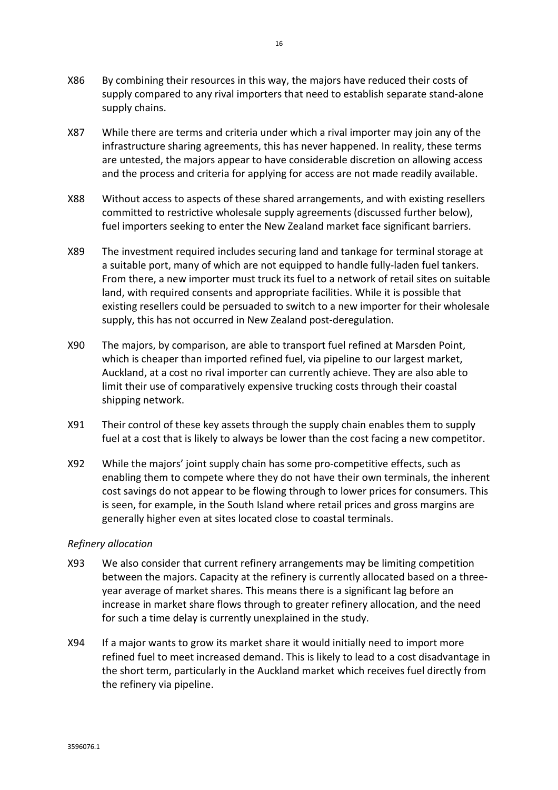- X86 By combining their resources in this way, the majors have reduced their costs of supply compared to any rival importers that need to establish separate stand-alone supply chains.
- X87 While there are terms and criteria under which a rival importer may join any of the infrastructure sharing agreements, this has never happened. In reality, these terms are untested, the majors appear to have considerable discretion on allowing access and the process and criteria for applying for access are not made readily available.
- X88 Without access to aspects of these shared arrangements, and with existing resellers committed to restrictive wholesale supply agreements (discussed further below), fuel importers seeking to enter the New Zealand market face significant barriers.
- X89 The investment required includes securing land and tankage for terminal storage at a suitable port, many of which are not equipped to handle fully-laden fuel tankers. From there, a new importer must truck its fuel to a network of retail sites on suitable land, with required consents and appropriate facilities. While it is possible that existing resellers could be persuaded to switch to a new importer for their wholesale supply, this has not occurred in New Zealand post-deregulation.
- X90 The majors, by comparison, are able to transport fuel refined at Marsden Point, which is cheaper than imported refined fuel, via pipeline to our largest market, Auckland, at a cost no rival importer can currently achieve. They are also able to limit their use of comparatively expensive trucking costs through their coastal shipping network.
- X91 Their control of these key assets through the supply chain enables them to supply fuel at a cost that is likely to always be lower than the cost facing a new competitor.
- X92 While the majors' joint supply chain has some pro-competitive effects, such as enabling them to compete where they do not have their own terminals, the inherent cost savings do not appear to be flowing through to lower prices for consumers. This is seen, for example, in the South Island where retail prices and gross margins are generally higher even at sites located close to coastal terminals.

#### *Refinery allocation*

- X93 We also consider that current refinery arrangements may be limiting competition between the majors. Capacity at the refinery is currently allocated based on a threeyear average of market shares. This means there is a significant lag before an increase in market share flows through to greater refinery allocation, and the need for such a time delay is currently unexplained in the study.
- X94 If a major wants to grow its market share it would initially need to import more refined fuel to meet increased demand. This is likely to lead to a cost disadvantage in the short term, particularly in the Auckland market which receives fuel directly from the refinery via pipeline.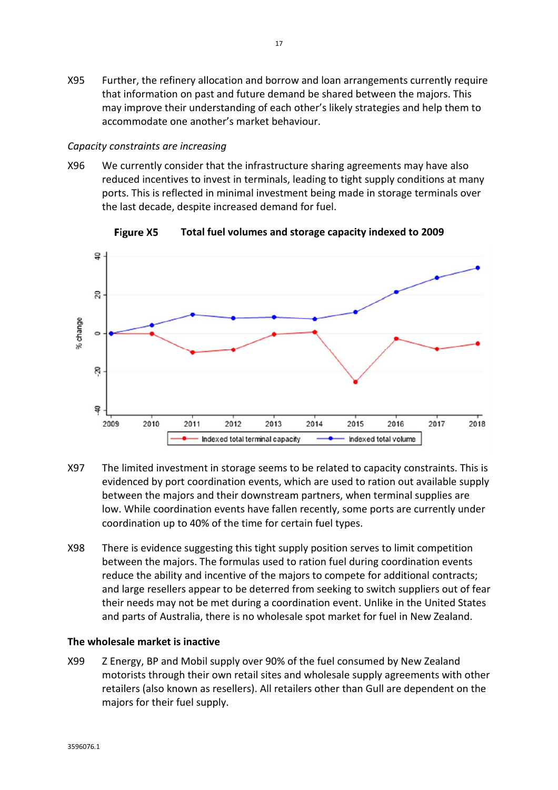X95 Further, the refinery allocation and borrow and loan arrangements currently require that information on past and future demand be shared between the majors. This may improve their understanding of each other's likely strategies and help them to accommodate one another's market behaviour.

#### *Capacity constraints are increasing*

X96 We currently consider that the infrastructure sharing agreements may have also reduced incentives to invest in terminals, leading to tight supply conditions at many ports. This is reflected in minimal investment being made in storage terminals over the last decade, despite increased demand for fuel.



**Figure X5 Total fuel volumes and storage capacity indexed to 2009** 

- X97 The limited investment in storage seems to be related to capacity constraints. This is evidenced by port coordination events, which are used to ration out available supply between the majors and their downstream partners, when terminal supplies are low. While coordination events have fallen recently, some ports are currently under coordination up to 40% of the time for certain fuel types.
- X98 There is evidence suggesting this tight supply position serves to limit competition between the majors. The formulas used to ration fuel during coordination events reduce the ability and incentive of the majors to compete for additional contracts; and large resellers appear to be deterred from seeking to switch suppliers out of fear their needs may not be met during a coordination event. Unlike in the United States and parts of Australia, there is no wholesale spot market for fuel in New Zealand.

#### **The wholesale market is inactive**

X99 Z Energy, BP and Mobil supply over 90% of the fuel consumed by New Zealand motorists through their own retail sites and wholesale supply agreements with other retailers (also known as resellers). All retailers other than Gull are dependent on the majors for their fuel supply.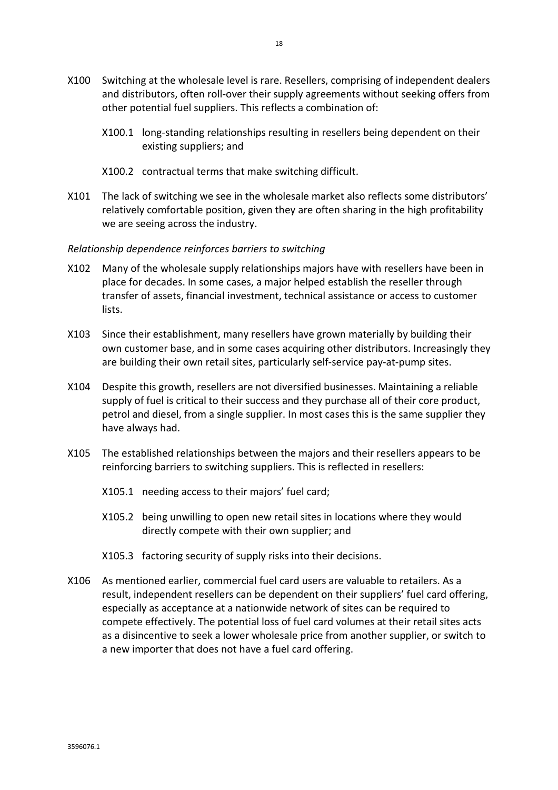- X100 Switching at the wholesale level is rare. Resellers, comprising of independent dealers and distributors, often roll-over their supply agreements without seeking offers from other potential fuel suppliers. This reflects a combination of:
	- X100.1 long-standing relationships resulting in resellers being dependent on their existing suppliers; and
	- X100.2 contractual terms that make switching difficult.
- X101 The lack of switching we see in the wholesale market also reflects some distributors' relatively comfortable position, given they are often sharing in the high profitability we are seeing across the industry.

#### *Relationship dependence reinforces barriers to switching*

- X102 Many of the wholesale supply relationships majors have with resellers have been in place for decades. In some cases, a major helped establish the reseller through transfer of assets, financial investment, technical assistance or access to customer lists.
- X103 Since their establishment, many resellers have grown materially by building their own customer base, and in some cases acquiring other distributors. Increasingly they are building their own retail sites, particularly self-service pay-at-pump sites.
- X104 Despite this growth, resellers are not diversified businesses. Maintaining a reliable supply of fuel is critical to their success and they purchase all of their core product, petrol and diesel, from a single supplier. In most cases this is the same supplier they have always had.
- X105 The established relationships between the majors and their resellers appears to be reinforcing barriers to switching suppliers. This is reflected in resellers:
	- X105.1 needing access to their majors' fuel card;
	- X105.2 being unwilling to open new retail sites in locations where they would directly compete with their own supplier; and
	- X105.3 factoring security of supply risks into their decisions.
- X106 As mentioned earlier, commercial fuel card users are valuable to retailers. As a result, independent resellers can be dependent on their suppliers' fuel card offering, especially as acceptance at a nationwide network of sites can be required to compete effectively. The potential loss of fuel card volumes at their retail sites acts as a disincentive to seek a lower wholesale price from another supplier, or switch to a new importer that does not have a fuel card offering.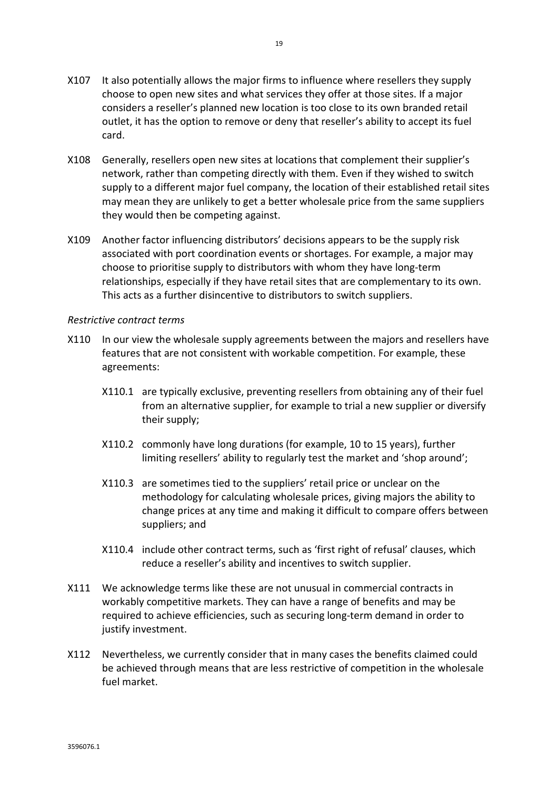- X108 Generally, resellers open new sites at locations that complement their supplier's network, rather than competing directly with them. Even if they wished to switch supply to a different major fuel company, the location of their established retail sites may mean they are unlikely to get a better wholesale price from the same suppliers they would then be competing against.
- X109 Another factor influencing distributors' decisions appears to be the supply risk associated with port coordination events or shortages. For example, a major may choose to prioritise supply to distributors with whom they have long-term relationships, especially if they have retail sites that are complementary to its own. This acts as a further disincentive to distributors to switch suppliers.

#### *Restrictive contract terms*

- X110 In our view the wholesale supply agreements between the majors and resellers have features that are not consistent with workable competition. For example, these agreements:
	- X110.1 are typically exclusive, preventing resellers from obtaining any of their fuel from an alternative supplier, for example to trial a new supplier or diversify their supply;
	- X110.2 commonly have long durations (for example, 10 to 15 years), further limiting resellers' ability to regularly test the market and 'shop around';
	- X110.3 are sometimes tied to the suppliers' retail price or unclear on the methodology for calculating wholesale prices, giving majors the ability to change prices at any time and making it difficult to compare offers between suppliers; and
	- X110.4 include other contract terms, such as 'first right of refusal' clauses, which reduce a reseller's ability and incentives to switch supplier.
- X111 We acknowledge terms like these are not unusual in commercial contracts in workably competitive markets. They can have a range of benefits and may be required to achieve efficiencies, such as securing long-term demand in order to justify investment.
- X112 Nevertheless, we currently consider that in many cases the benefits claimed could be achieved through means that are less restrictive of competition in the wholesale fuel market.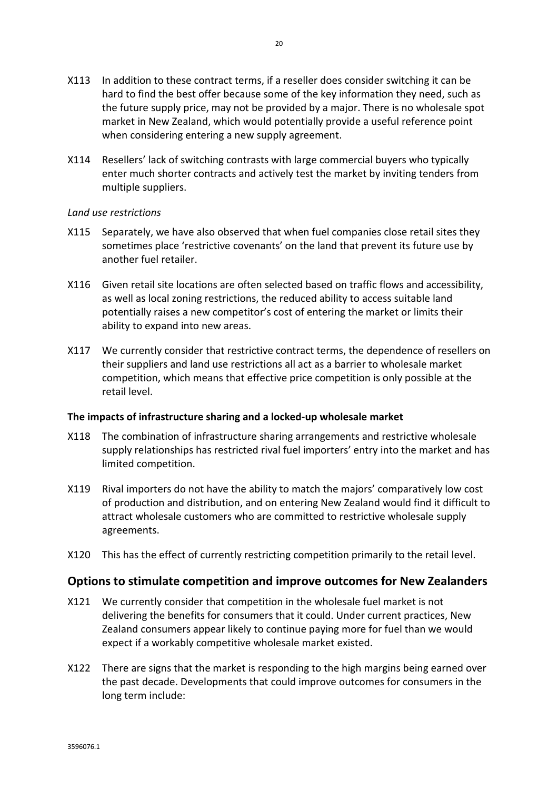- X113 In addition to these contract terms, if a reseller does consider switching it can be hard to find the best offer because some of the key information they need, such as the future supply price, may not be provided by a major. There is no wholesale spot market in New Zealand, which would potentially provide a useful reference point when considering entering a new supply agreement.
- X114 Resellers' lack of switching contrasts with large commercial buyers who typically enter much shorter contracts and actively test the market by inviting tenders from multiple suppliers.

#### *Land use restrictions*

- X115 Separately, we have also observed that when fuel companies close retail sites they sometimes place 'restrictive covenants' on the land that prevent its future use by another fuel retailer.
- X116 Given retail site locations are often selected based on traffic flows and accessibility, as well as local zoning restrictions, the reduced ability to access suitable land potentially raises a new competitor's cost of entering the market or limits their ability to expand into new areas.
- X117 We currently consider that restrictive contract terms, the dependence of resellers on their suppliers and land use restrictions all act as a barrier to wholesale market competition, which means that effective price competition is only possible at the retail level.

#### **The impacts of infrastructure sharing and a locked-up wholesale market**

- X118 The combination of infrastructure sharing arrangements and restrictive wholesale supply relationships has restricted rival fuel importers' entry into the market and has limited competition.
- X119 Rival importers do not have the ability to match the majors' comparatively low cost of production and distribution, and on entering New Zealand would find it difficult to attract wholesale customers who are committed to restrictive wholesale supply agreements.
- X120 This has the effect of currently restricting competition primarily to the retail level.

#### **Options to stimulate competition and improve outcomes for New Zealanders**

- X121 We currently consider that competition in the wholesale fuel market is not delivering the benefits for consumers that it could. Under current practices, New Zealand consumers appear likely to continue paying more for fuel than we would expect if a workably competitive wholesale market existed.
- X122 There are signs that the market is responding to the high margins being earned over the past decade. Developments that could improve outcomes for consumers in the long term include: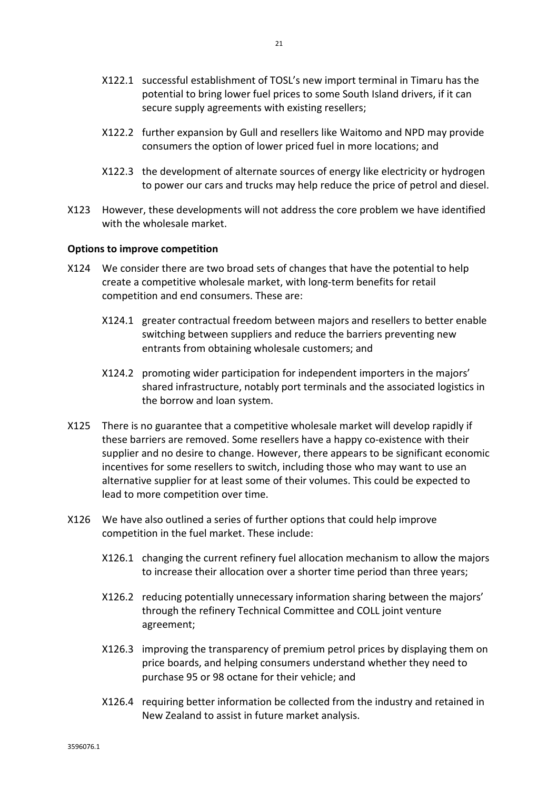- X122.1 successful establishment of TOSL's new import terminal in Timaru has the potential to bring lower fuel prices to some South Island drivers, if it can secure supply agreements with existing resellers;
- X122.2 further expansion by Gull and resellers like Waitomo and NPD may provide consumers the option of lower priced fuel in more locations; and
- X122.3 the development of alternate sources of energy like electricity or hydrogen to power our cars and trucks may help reduce the price of petrol and diesel.
- X123 However, these developments will not address the core problem we have identified with the wholesale market

#### **Options to improve competition**

- X124 We consider there are two broad sets of changes that have the potential to help create a competitive wholesale market, with long-term benefits for retail competition and end consumers. These are:
	- X124.1 greater contractual freedom between majors and resellers to better enable switching between suppliers and reduce the barriers preventing new entrants from obtaining wholesale customers; and
	- X124.2 promoting wider participation for independent importers in the majors' shared infrastructure, notably port terminals and the associated logistics in the borrow and loan system.
- X125 There is no guarantee that a competitive wholesale market will develop rapidly if these barriers are removed. Some resellers have a happy co-existence with their supplier and no desire to change. However, there appears to be significant economic incentives for some resellers to switch, including those who may want to use an alternative supplier for at least some of their volumes. This could be expected to lead to more competition over time.
- X126 We have also outlined a series of further options that could help improve competition in the fuel market. These include:
	- X126.1 changing the current refinery fuel allocation mechanism to allow the majors to increase their allocation over a shorter time period than three years;
	- X126.2 reducing potentially unnecessary information sharing between the majors' through the refinery Technical Committee and COLL joint venture agreement;
	- X126.3 improving the transparency of premium petrol prices by displaying them on price boards, and helping consumers understand whether they need to purchase 95 or 98 octane for their vehicle; and
	- X126.4 requiring better information be collected from the industry and retained in New Zealand to assist in future market analysis.